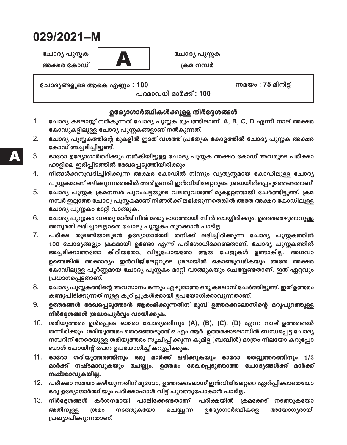# 029/2021-M

ചോദ്യ പുസ്തക അക്ഷര കോഡ്



ചോദ്യ പുസ്തക ക്രമ നമ്പർ

ചോദ്യങ്ങളുടെ ആകെ എണ്ണം : 100

സമയം $: 75$  മിനിട്

പരമാവധി മാർക്ക് : 100

### ഉദ്യോഗാർത്ഥികൾക്കുള്ള നിർദ്ദേശങ്ങൾ

- $1<sub>1</sub>$ ചോദ്യ കടലാസ്സ് നൽകുന്നത് ചോദ്യ പുസ്തക രൂപത്തിലാണ്. A, B, C, D എന്നീ നാല് അക്ഷര കോഡുകളിലുള്ള ചോദ്യ പുസ്തകങ്ങളാണ് നൽകുന്നത്.
- $2.$ ചോദ്യ പുസ്തകത്തിന്റെ മുകളിൽ ഇടത് വശത്ത് പ്രത്യേക കോളത്തിൽ ചോദ്യ പുസ്തക അക്ഷര കോഡ് അച്ചടിച്ചിട്ടുണ്ട്.
- 3. ഓരോ ഉദ്യോഗാർത്ഥിക്കും നൽകിയിട്ടുള്ള ചോദ്യ പൂസ്ലക അക്ഷര കോഡ് അവരുടെ പരീക്ഷാ ഹാളിലെ ഇരിപ്പിടത്തിൽ രേഖപ്പെടുത്തിയിരിക്കും.
- $\mathbf{4}$ . നിങ്ങൾക്കനുവദിച്ചിരിക്കുന്ന അക്ഷര കോഡിൽ നിന്നും വ്യത്യസ്തമായ കോഡിലുള്ള ചോദ്യ പുസ്തകമാണ് ലഭിക്കുന്നതെങ്കിൽ അത് ഉടനടി ഇൻവിജിലേറ്ററുടെ ശ്രദ്ധയിൽപ്പെടുത്തേണ്ടതാണ്.
- $5<sub>1</sub>$ ചോദ്യ പുസ്തക ക്രമനമ്പർ പുറംചട്ടയുടെ വലതുവശത്ത് മുകളറ്റത്തായി ചേർത്തിട്ടുണ്ട്. ക്രമ നമ്പർ ഇല്ലാത്ത ചോദ്യ പുസ്തകമാണ് നിങ്ങൾക്ക് ലഭിക്കുന്നതെങ്കിൽ അതേ അക്ഷര കോഡിലുള്ള ചോദ്യ പുസ്തകം മാറ്റി വാങ്ങുക.
- 6. ചോദ്യ പുസ്തകം വലതു മാർജിനിൽ മദ്ധ്യ ഭാഗത്തായി സീൽ ചെയ്യിരിക്കും. ഉത്തരമെഴുതാനുള്ള അനുമതി ലഭിച്ചാലല്ലാതെ ചോദ്യ പുസ്തകം തുറക്കാൻ പാടില്ല.
- $7<sub>1</sub>$ പരീക്ഷ തുടങ്ങിയാലുടൻ ഉദ്യോഗാർത്ഥി തനിക്ക് ലഭിച്ചിരിക്കുന്ന ചോദ്യ പുസ്തകത്തിൽ 100 ചോദ്യങ്ങളും ക്രമമായി ഉണ്ടോ എന്ന് പരിശോധിക്കേണ്ടതാണ്. ചോദ്യ പുസ്തകത്തിൽ അച്ചടിക്കാത്തതോ കീറിയതോ, വിട്ടുപോയതോ ആയ പേജുകൾ ഉണ്ടാകില്ല. അഥവാ ഉണ്ടെങ്കിൽ അക്കാര്യം ഇൻവിജിലേറ്ററുടെ ശ്രദ്ധയിൽ കൊണ്ടുവരികയും അതേ അക്ഷര കോഡിലുള്ള പൂർണ്ണമായ ചോദ്യ പുസ്തകം മാറ്റി വാങ്ങുകയും ചെയ്യേണ്ടതാണ്. ഇത് ഏറ്റവും പ്രധാനപ്പെട്ടതാണ്.
- 8. ചോദ്യ പുസ്തകത്തിന്റെ അവസാനം ഒന്നും എഴുതാത്ത ഒരു കടലാസ് ചേർത്തിട്ടുണ്ട്. ഇത് ഉത്തരം കണ്ടുപിടിക്കുന്നതിനുള്ള കുറിപ്പുകൾക്കായി ഉപയോഗിക്കാവുന്നതാണ്.
- 9. ഉത്തരങ്ങൾ രേഖപ്പെടുത്താൻ ആരംഭിക്കുന്നതിന് മുമ്പ് ഉത്തരക്കടലാസിന്റെ മറുപുറത്തുള്ള നിർദ്ദേശങ്ങൾ ശ്രദ്ധാപൂർവ്വം വായിക്കുക.
- 10. ശരിയുത്തരം ഉൾപ്പെടെ ഓരോ ചോദ്യത്തിനും (A), (B), (C), (D) എന്ന നാല് ഉത്തരങ്ങൾ തന്നിരിക്കും. ശരിയുത്തരം തെരഞ്ഞെടുത്ത് ഒ.എം.ആർ. ഉത്തരക്കടലാസിൽ ബന്ധപ്പെട്ട ചോദ്യ നമ്പറിന് നേരെയുള്ള ശരിയുത്തരം സുചിപ്പിക്കുന്ന കുമിള (ബബിൾ) മാത്രം നീലയോ കറുപ്പോ ബാൾ പോയിന്റ് പേന ഉപയോഗിച്ച് കറുപ്പിക്കുക.
- 11. ഓരോ ശരിയുത്തരത്തിനും ഒരു മാർക്ക് ലഭിക്കുകയും ഓരോ തെറ്റുത്തരത്തിനും 1/3 മാർക്ക് നഷ്ടമാവുകയും ചേയ്യും. ഉത്തരം രേഖപ്പെടുത്താത്ത ചോദ്യങ്ങൾക്ക് മാർക്ക് നഷ്ടമാവുകയില്ല.
- 12. പരീക്ഷാ സമയം കഴിയുന്നതിന് മുമ്പോ, ഉത്തരക്കടലാസ് ഇൻവിജിലേറ്ററെ ഏൽപ്പിക്കാതെയോ ഒരു ഉദ്യോഗാർത്ഥിയും പരീക്ഷാഹാൾ വിട്ട് പുറത്തുപോകാൻ പാടില്ല.
- 13. നിർദ്ദേശങ്ങൾ കർശനമായി പാലിക്കേണ്ടതാണ്. പരീക്ഷയിൽ ക്രമക്കേട് നടത്തുകയോ അതിനുള്ള ഉദ്യോഗാർത്ഥികളെ ശ്രമം നടത്തുകയോ ചെയ്യുന്ന അയോഗ്യരായി പ്രഖ്യാപിക്കുന്നതാണ്.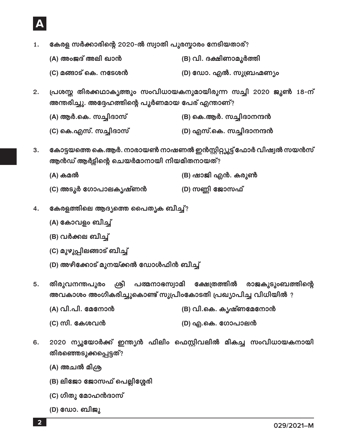

- കേരള സർക്കാരിന്റെ 2020-ൽ സ്വാതി പുരസ്കാരം നേടിയതാര്? 1.
	- (B) വി. ദക്ഷിണാമൂർത്തി (A) അംജദ് അലി ഖാൻ
	- (D) ഡോ. എൽ. സുബ്രഹ്മണ്യം (C) മങ്ങാട് കെ. നടേശൻ
- പ്രശസ്ത തിരക്കഥാകൃത്തും സംവിധായകനുമായിരുന്ന സച്ചി 2020 ജൂൺ 18-ന്  $2.$ അന്തരിച്ചു. അദ്ദേഹത്തിന്റെ പൂർണമായ പേര് എന്താണ്?
	- (A) ആർ.കെ. സച്ചിദാസ് (B) കെ.ആർ. സച്ചിദാനന്ദൻ
	- (C) കെ.എസ്. സച്ചിദാസ് (D) എസ്.കെ. സച്ചിദാനന്ദൻ
- കോട്ടയത്തെ കെ.ആർ. നാരായൺ നാഷണൽ ഇൻസ്റ്റിറ്റ്യൂട്ട് ഫോർ വിഷ്വൽ സയൻസ്  $3.$ ആൻഡ് ആർട്ടിന്റെ ചെയർമാനായി നിയമിതനായത്?
	- (B) ഷാജി എൻ. കരുൺ (A) കമൽ
	- (C) അടൂർ ഗോപാലകൃഷ്ണൻ (D) സണ്ണി ജോസഫ്
- കേരളത്തിലെ ആദ്യത്തെ പൈതൃക ബീച്ച്?  $4.$ 
	- (A) കോവളം ബീച്ച്
	- (B) വർക്കല ബീച്ച്
	- (C) മുഴുപ്പിലങ്ങാട് ബീച്ച്
	- (D) അഴീക്കോട് മുനയ്ക്കൽ ഡോൾഫിൻ ബീച്ച്
- ശ്രീ പത്മനാഭസ്വാമി ക്ഷേത്രത്തിൽ രാജകുടുംബത്തിന്റെ  $5.$ തിരുവനന്തപുരം അവകാശം അംഗീകരിച്ചുകൊണ്ട് സുപ്രീംകോടതി പ്രഖ്യാപിച്ച വിധിയിൽ ?
	- (A) വി.പി. മേനോൻ (B) വി.കെ. കൃഷ്ണമേനോൻ
	- (C) സി. കേശവൻ (D) എ.കെ. ഗോപാലൻ
- 2020 ന്യൂയോർക്ക് ഇന്ത്യൻ ഫിലിം ഫെസ്റ്റിവലിൽ മികച്ച സംവിധായകനായി 6. തിരഞ്ഞെടുക്കപ്പെട്ടത്?
	- (A) അചൽ മിശ്ര
	- (B) ലിജോ ജോസഫ് പെല്ലിശ്ശേരി
	- (C) ഗീതു മോഹൻദാസ്
	- (D) ഡോ. ബിജൂ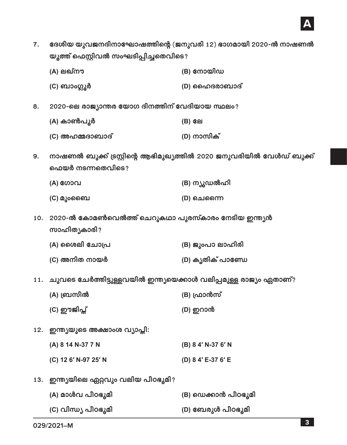ദേശീയ യുവജനദിനാഘോഷത്തിന്റെ (ജനുവരി 12) ഭാഗമായി 2020-ൽ നാഷണൽ  $7.$ യുത്ത് ഫെസ്റ്റിവൽ സംഘടിപ്പിച്ചതെവിടെ?

| (A) ലഖ്നൗ | (B) നോയിഡ |
|-----------|-----------|
|-----------|-----------|

- (D) ഹൈദരാബാദ് (C) ബാംഗ്ലൂർ
- 2020-ലെ രാജ്യാന്തര യോഗ ദിനത്തിന് വേദിയായ സ്ഥലം? 8.
	- (A) കാൺപൂർ (B) ലേ
	- (D) നാസിക് (C) അഹമ്മദാബാദ്
- നാഷണൽ ബുക്ക് ട്രസ്റ്റിന്റെ ആഭിമുഖ്യത്തിൽ 2020 ജനുവരിയിൽ വേൾഡ് ബുക്ക് 9. ഫെയർ നടന്നതെവിടെ?

| (A) ഗോവ   | (B) ന്യൂഡൽഹി |
|-----------|--------------|
| (C) മുംബൈ | (D) ചെന്നൈ   |

- 10. 2020-ൽ കോമൺവെൽത്ത് ചെറുകഥാ പുരസ്കാരം നേടിയ ഇന്ത്യൻ സാഹിത്യകാരി?
	- (A) ശൈലി ചോപ്ര (B) ജുംപാ ലാഹിരി (C) അനിത നായർ (D) കൃതിക് പാണ്ഡേ
- 11. ചുവടെ ചേർത്തിട്ടുള്ളവയിൽ ഇന്ത്യയെക്കാൾ വലിപ്പമുള്ള രാജ്യം ഏതാണ്?
	- (A) ബ്രസീൽ (B) ഫ്രാൻസ്
	- (C) ഈജിപ്ത് (D) ഇറാൻ
- 12. ഇന്ത്യയുടെ അക്ഷാംശ വ്യാപ്തി:
	- (A) 8 14 N-37 7 N (B) 8 4' N-37 6' N
	- (C) 12 6' N-97 25' N (D) 8 4' E-37 6' E
- 13. ഇന്ത്യയിലെ ഏറ്റവും വലിയ പീഠഭൂമി?

| (A) മാൾവ പീഠഭൂമി    | (B) ഡെക്കാൻ പീഠഭൂമി |
|---------------------|---------------------|
| (C) വിന്ധ്യ പീഠഭൂമി | (D) ബേരുൾ പീഠഭൂമി   |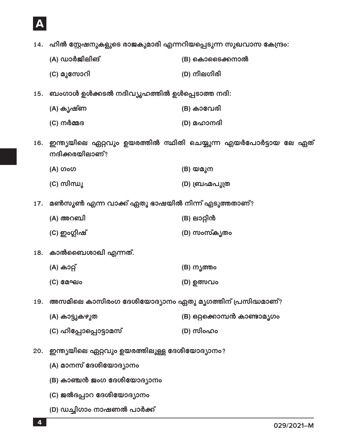- (C) ജൽദപ്പാറ ദേശീയോദ്യാനം
- (D) ഡച്ചിഗാം നാഷണൽ പാർക്ക്
- (B) കാഞ്ചൻ ജംഗ ദേശീയോദ്യാനം

(A) മാനസ് ദേശീയോദ്യാനം

(C) ഹിപ്പോപ്പൊട്ടാമസ്

- 20. ഇന്ത്യയിലെ ഏറ്റവും ഉയരത്തിലുള്ള ദേശീയോദ്യാനം?
- (B) ഒറ്റക്കൊമ്പൻ കാണ്ടാമ്യഗം (A) കാട്ടുകഴുത
- 19. അസമിലെ കാസിരംഗ ദേശീയോദ്യാനം ഏതു മൃഗത്തിന് പ്രസിദ്ധമാണ്?
- (C) മേഘം (D) ഉത്സവം
- (A) കാറ്റ് (B) നൃത്തം
- 18. കാൽബൈശാഖി എന്നത്.
- 
- 17. മൺസുൺ എന്ന വാക്ക് ഏതു ഭാഷയിൽ നിന്ന് എടുത്തതാണ്?
- (A) ഗംഗ (B) യമുന (C) സിന്ധു

16. ഇന്ത്യയിലെ ഏറ്റവും ഉയരത്തിൽ സ്ഥിതി ചെയ്യുന്ന എയർപോർട്ടായ ലേ ഏത്

- (C) നർമ്മദ (D) മഹാനദി
- (C) മുസോറി (D) നീലഗിരി 15. ബംഗാൾ ഉൾക്കടൽ നദീവ്യൂഹത്തിൽ ഉൾപ്പെടാത്ത നദി:

(B) കാവേരി

(D) ബ്രഹ്മപുത്ര

(D) സംസ്കൃതം

(B) ലാറ്റിൻ

(D) സിംഹം

- (A) ഡാർജിലിങ് (B) കൊടൈക്കനാൽ
- 14. ഹിൽ സ്റ്റേഷനുകളുടെ രാജകുമാരി എന്നറിയപ്പെടുന്ന സുഖവാസ കേന്ദ്രം:

(A) കൃഷ്ണ

(A) അറബി

(C) ഇംഗ്ലീഷ്

നദിക്കരയിലാണ്?

 $\overline{4}$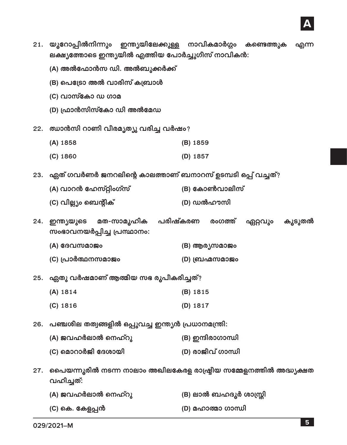

(D) മഹാത്മാ ഗാന്ധി (C) കെ. കേളപ്പൻ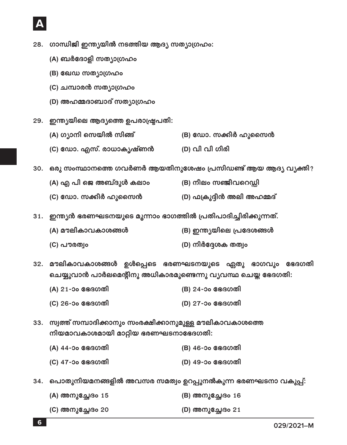- 28. ഗാന്ധിജി ഇന്ത്യയിൽ നടത്തിയ ആദ്യ സത്യാഗ്രഹം:
	- (A) ബർദോളി സത്യാഗ്രഹം
	- (B) ഖേഡ സത്യാഗ്രഹം
	- (C) ചമ്പാരൻ സത്യാഗ്രഹം
	- (D) അഹമ്മദാബാദ് സത്യാഗ്രഹം
- 29. ഇന്ത്യയിലെ ആദ്യത്തെ ഉപരാഷ്ട്രപതി:
	- (B) ഡോ. സക്കീർ ഹുസൈൻ (A) ഗ്യാനി സെയിൽ സിങ്ങ്
	- (D) വി വി ഗിരി (C) ഡോ. എസ്. രാധാകൃഷ്ണൻ

30. ഒരു സംസ്ഥാനത്തെ ഗവർണർ ആയതിനുശേഷം പ്രസിഡണ്ട് ആയ ആദ്യ വ്യക്തി?

- (A) എ പി ജെ അബ്ദുൾ കലാം (B) നീലം സഞ്ജീവറെഡ്ഡി
- (C) ഡോ. സക്കീർ ഹുസൈൻ (D) ഫക്രുദ്ദീൻ അലി അഹമ്മദ്
- 31. ഇന്ത്യൻ ഭരണഘടനയുടെ മൂന്നാം ഭാഗത്തിൽ പ്രതിപാദിച്ചിരിക്കുന്നത്.
	- (B) ഇന്ത്യയിലെ പ്രദേശങ്ങൾ (A) മൗലികാവകാശങ്ങൾ
	- (C) പൗരത്വം (D) നിർദ്ദേശക തത്വം
- 32. മൗലികാവകാശങ്ങൾ ഉൾപ്പെടെ ഭരണഘടനയുടെ ഏതു ഭാഗവും ഭേദഗതി ചെയ്യുവാൻ പാർലമെന്റിനു അധികാരമുണ്ടെന്നു വ്യവസ്ഥ ചെയ്ത ഭേദഗതി:
	- (A) 21-ാം ഭേദഗതി (B) 24-ാം ഭേദഗതി
	- (C) 26-ാം ഭേദഗതി (D) 27-ാം ഭേദഗതി
- 33. സ്വത്ത് സമ്പാദിക്കാനും സംരക്ഷിക്കാനുമുള്ള മൗലികാവകാശത്തെ നിയമാവകാശമായി മാറ്റിയ ഭരണഘടനാഭേദഗതി:
	- (A) 44-ാം ഭേദഗതി (B) 46-ാം ഭേദഗതി
	- (C) 47-ാം ഭേദഗതി (D) 49-ാം ഭേദഗതി
- 34. പൊതുനിയമനങ്ങളിൽ അവസര സമത്വം ഉറപ്പുനൽകുന്ന ഭരണഘടനാ വകുപ്പ്:

| (A) അനുച്ഛേദം 15 | (B) അനുച്ഛേദം 16 |
|------------------|------------------|
| (C) അനുച്ഛേദം 20 | (D) അനുച്ഛേദം 21 |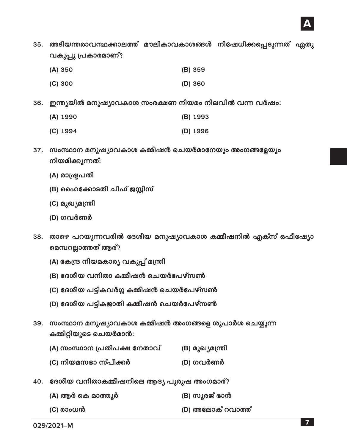

35. അടിയന്തരാവസ്ഥക്കാലത്ത് മൗലികാവകാശങ്ങൾ നിഷേധിക്കപ്പെടുന്നത് ഏതു വകുപ്പു പ്രകാരമാണ്?

| (A) 350 | (B) 359 |
|---------|---------|
| (C) 300 | (D) 360 |

36. ഇന്ത്യയിൽ മനുഷ്യാവകാശ സംരക്ഷണ നിയമം നിലവിൽ വന്ന വർഷം:

| (A) 1990 | (B) 1993 |
|----------|----------|
|----------|----------|

- $(C)$  1994 (D) 1996
- 37. സംസ്ഥാന മനുഷ്യാവകാശ കമ്മീഷൻ ചെയർമാനേയും അംഗങ്ങളേയും നിയമിക്കുന്നത്:
	- (A) രാഷ്ട്രപതി
	- (B) ഹൈക്കോടതി ചീഫ് ജസ്റ്റിസ്
	- (C) മുഖ്യമന്ത്രി
	- (D) ഗവർണർ
- 38. താഴെ പറയുന്നവരിൽ ദേശീയ മനുഷ്യാവകാശ കമ്മീഷനിൽ എക്സ് ഒഫീഷ്യോ മെമ്പറല്ലാത്തത് ആര്?
	- (A) കേന്ദ്ര നിയമകാര്യ വകുപ്പ് മന്ത്രി
	- (B) ദേശീയ വനിതാ കമ്മീഷൻ ചെയർപേഴ്സൺ
	- (C) ദേശീയ പട്ടികവർഗ്ഗ കമ്മീഷൻ ചെയർപേഴ്സൺ
	- (D) ദേശീയ പട്ടികജാതി കമ്മീഷൻ ചെയർപേഴ്സൺ
- 39. സംസ്ഥാന മനുഷ്യാവകാശ കമ്മീഷൻ അംഗങ്ങളെ ശുപാർശ ചെയ്യുന്ന കമ്മിറ്റിയുടെ ചെയർമാൻ:
	- (A) സംസ്ഥാന പ്രതിപക്ഷ നേതാവ് (B) മുഖ്യമന്ത്രി
	- (C) നിയമസഭാ സ്പീക്കർ (D) ഗവർണർ
- 40. ദേശീയ വനിതാകമ്മീഷനിലെ ആദ്യ പുരുഷ അംഗമാര്?

| (A) ആർ കെ മാത്തൂർ | (B) സൂരജ് ഭാൻ     |
|-------------------|-------------------|
| (C) രാംധൻ         | (D) അലോക് റവാത്ത് |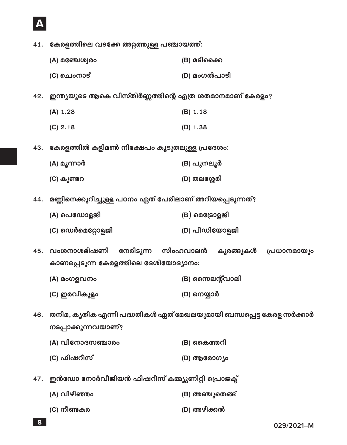41. കേരളത്തിലെ വടക്കേ അറ്റത്തുള്ള പഞ്ചായത്ത്:

- $(A)$  മഞ്ചേശ്വരം (B) മടിക്കൈ (D) മംഗൽപാടി (C) ചെംനാട്
- 42. ഇന്ത്യയുടെ ആകെ വിസ്തീർണ്ണത്തിന്റെ എത്ര ശതമാനമാണ് കേരളം?
	- $(A) 1.28$  $(B) 1.18$
	- $(C) 2.18$  $(D) 1.38$
- 43. കേരളത്തിൽ കളിമൺ നിക്ഷേപം കൂടുതലുള്ള പ്രദേശം:
	- (A) മൂന്നാർ (B) പുനലൂർ
	- (D) തലശ്ശേരി (C) കുണ്ടറ
- 44. മണ്ണിനെക്കുറിച്ചുള്ള പഠനം ഏത് പേരിലാണ് അറിയപ്പെടുന്നത്?
	- $(B)$  മെട്രോളജി (A) പെഡോളജി
	- (D) പീഡിയോളജി  $(C)$  ഡെർമെറ്റോളജി
- നേരിടുന്ന സിംഹവാലൻ കുരങ്ങുകൾ 45. വംശനാശഭീഷണി പ്രധാനമായും കാണപ്പെടുന്ന കേരളത്തിലെ ദേശീയോദ്യാനം:
	- (B) സൈലന്റ്വാലി (A) മംഗളവനം
	- (C) ഇരവികുളം (D) നെയ്യാർ
- 46. തനിമ, കൃതിക എന്നീ പദ്ധതികൾ ഏത് മേഖലയുമായി ബന്ധപ്പെട്ട കേരള സർക്കാർ നടപ്പാക്കുന്നവയാണ്?
	- (A) വിനോദസഞ്ചാരം (B) കൈത്തറി (C) ഫിഷറീസ് (D) ആരോഗ്യം
- 47. ഇൻഡോ നോർവീജിയൻ ഫിഷറീസ് കമ്മ്യൂണിറ്റി പ്രൊജക്ട്
	- (A) വിഴിഞ്ഞം (B) അഞ്ചുതെങ്ങ് (C) നീണ്ടകര (D) അഴീക്കൽ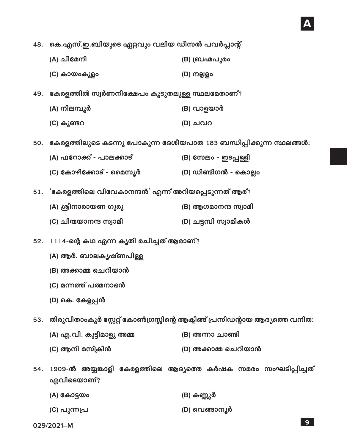48. കെ.എസ്.ഇ.ബിയുടെ ഏറ്റവും വലിയ ഡീസൽ പവർപ്ലാന്റ്

| (A) ചീമേനി | (B) ബ്രഹ്മപുരം |
|------------|----------------|
|            |                |

- 49. കേരളത്തിൽ സ്വർണനിക്ഷേപം കൂടുതലുള്ള സ്ഥലമേതാണ്?
	- (A) നിലമ്പൂർ (B) വാളയാർ
	- (D) ചവറ (C) കുണ്ടറ
- 50. കേരളത്തിലൂടെ കടന്നു പോകുന്ന ദേശീയപാത 183 ബന്ധിപ്പിക്കുന്ന സ്ഥലങ്ങൾ:

(D) നല്ലളം

- (A) ഫറോക്ക് പാലക്കാട് (B) സേലം - ഇടപ്പള്ളി
- (C) കോഴിക്കോട് മൈസൂർ (D) ഡിണ്ടിഗൽ കൊല്ലം
- 51. 'കേരളത്തിലെ വിവേകാനന്ദൻ' എന്ന് അറിയപ്പെടുന്നത് ആര്?
	- (A) ശ്രീനാരായണ ഗുരു (B) ആഗമാനന്ദ സ്വാമി
	- (C) ചിന്മയാനന്ദ സ്വാമി (D) ചട്ടമ്പി സ്വാമികൾ
- 52. 1114-ന്റെ കഥ എന്ന കൃതി രചിച്ചത് ആരാണ്?
	- (A) ആർ. ബാലകൃഷ്ണപിള്ള
	- (B) അക്കാമ്മ ചെറിയാൻ
	- (C) മന്നത്ത് പത്മനാഭൻ
	- (D) കെ. കേളപ്പൻ

(C) കായംകുളം

- 53. തിരുവിതാംകൂർ സ്റ്റേറ്റ് കോൺഗ്രസ്സിന്റെ ആക്ടിങ്ങ് പ്രസിഡന്റായ ആദ്യത്തെ വനിത:
	- (A) എ.വി. കുട്ടിമാളു അമ്മ (B) അന്നാ ചാണ്ടി
	- (C) ആനി മസ്ക്രീൻ (D) അക്കാമ്മ ചെറിയാൻ
- 54. 1909-ൽ അയ്യങ്കാളി കേരളത്തിലെ ആദ്യത്തെ കർഷക സമരം സംഘടിപ്പിച്ചത് എവിടെയാണ്?
	- (A) കോട്ടയം (B) കണ്ണൂർ (C) പുന്നപ്ര (D) വെങ്ങാനൂർ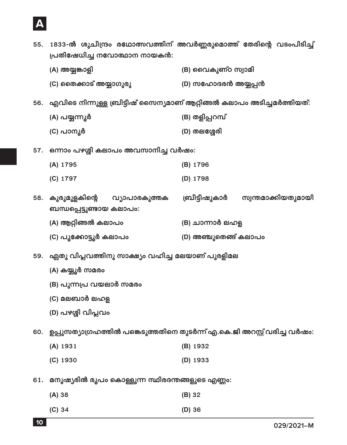

 $(C)$  തൈക്കാട് അയ്യാഗൂരൂ (D) സഹോദരൻ അയ്യപ്പൻ 56. എവിടെ നിന്നുള്ള ബ്രിട്ടീഷ് സൈന്യമാണ് ആറ്റിങ്ങൽ കലാപം അടിച്ചമർത്തിയത്: (B) തളിപ്പറമ്പ് (A) പയ്യന്നൂർ (C) പാനൂർ (D) തലശ്ശേരി 57. ഒന്നാം പഴശ്ശി കലാപം അവസാനിച്ച വർഷം: (A) 1795 (B) 1796 (C) 1797 (D) 1798 സ്വന്തമാക്കിയതുമായി 58. കുരുമുളകിന്റെ ബ്രീട്ടീഷുകാർ വ്യാപാരകുത്തക ബന്ധപ്പെട്ടുണ്ടായ കലാപം: (A) ആറ്റിങ്ങൽ കലാപം (B) ചാന്നാർ ലഹള (C) പൂക്കോട്ടൂർ കലാപം (D) അഞ്ചുതെങ്ങ് കലാപം 59. ഏതു വിപ്ലവത്തിനു സാക്ഷ്യം വഹിച്ച മലയാണ് പുരളിമല

55. 1833-ൽ ശുചീന്ദ്രം രഥോത്സവത്തിന് അവർണ്ണരുമൊത്ത് തേരിന്റെ വടംപിടിച്ച്

(B) വൈകുണ്ഠ സ്വാമി

- (A) കയ്യൂർ സമരം
- (B) പുന്നപ്ര വയലാർ സമരം

പ്രതിഷേധിച്ച നവോത്ഥാന നായകൻ:

(A) അയ്യങ്കാളി

- (C) മലബാർ ലഹള
- (D) പഴശ്ശി വിപ്ലവം

60. ഉപ്പുസത്യാഗ്രഹത്തിൽ പങ്കെടുത്തതിനെ തുടർന്ന് എ.കെ.ജി അറസ്റ്റ് വരിച്ച വർഷം:

- (A) 1931 (B) 1932
- $(C)$  1930  $(D)$  1933
- 61. മനുഷ്യരിൽ രൂപം കൊള്ളുന്ന സ്ഥിരദന്തങ്ങളുടെ എണ്ണം:

| (A) 38 | $(B)$ 32 |
|--------|----------|
| (C) 34 | $(D)$ 36 |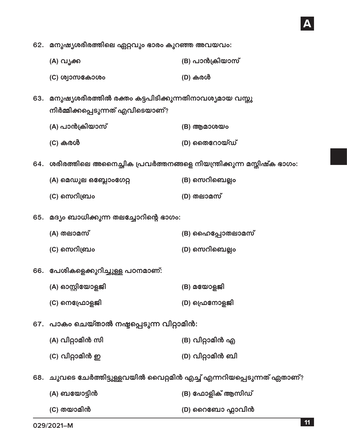62. മനുഷ്യശരീരത്തിലെ ഏറ്റവും ഭാരം കുറഞ്ഞ അവയവം:

| (A) വൃക്ക | (B) പാൻക്രിയാസ് |
|-----------|-----------------|
|-----------|-----------------|

- (D) കരൾ (C) ശ്വാസകോശം
- 63. മനുഷ്യശരീരത്തിൽ രക്തം കട്ടപിടിക്കുന്നതിനാവശ്യമായ വസ്തു നിർമ്മിക്കപ്പെടുന്നത് എവിടെയാണ്?
	- (A) പാൻക്രിയാസ്  $(B)$  ആമാശയം (D) ജൈറായ്ഡ്
- 64. ശരീരത്തിലെ അനൈച്ഛിക പ്രവർത്തനങ്ങളെ നിയന്ത്രിക്കുന്ന മസ്തിഷ്ക ഭാഗം:
	- (B) സെറിബെല്ലം (A) മെഡുല ഒബ്ലോംഗേറ്റ (C) സെറിബ്രം (D) തലാമസ്
- 65. മദ്യം ബാധിക്കുന്ന തലച്ചോറിന്റെ ഭാഗം:

(C) കരൾ

- (A) തലാമസ് (B) ഹൈപ്പോതലാമസ്
- (C) സെറിബ്രം (D) സെറിബെല്ലം
- 66. പേശികളെക്കുറിച്ചുള്ള പഠനമാണ്:
	- (A) ഓസ്റ്റിയോളജി (B) മയോളജി
	- (C) നെപ്രോളജി (D) ഫ്രെനോളജി
- 67. പാകം ചെയ്താൽ നഷ്ടപ്പെടുന്ന വിറ്റാമിൻ:
	- (A) വിറ്റാമിൻ സി (B) വിറ്റാമിൻ എ
	- (C) വിറ്റാമിൻ ഇ (D) വിറ്റാമിൻ ബി
- 68. ചുവടെ ചേർത്തിട്ടുള്ളവയിൽ വൈറ്റമിൻ എച്ച് എന്നറിയപ്പെടുന്നത് ഏതാണ്?

| (A) ബയോട്ടിൻ | (B) ഫോളിക് ആസിഡ് |
|--------------|------------------|
| (C) തയാമിൻ   | (D) റൈബോ ഫ്ലാവിൻ |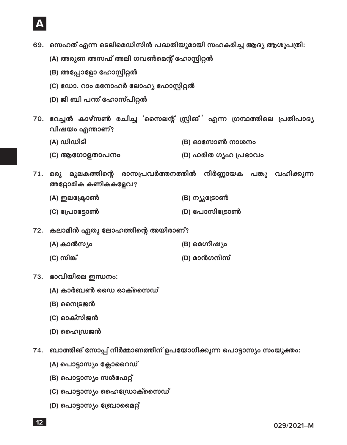

- 69. സെഹത് എന്ന ടെലിമെഡിസിൻ പദ്ധതിയുമായി സഹകരിച്ച ആദ്യ ആശുപത്രി:
	- (A) അരുണ അസഫ് അലി ഗവൺമെന്റ് ഹോസ്റ്റിറ്റൽ
	- (B) അപ്പോളോ ഹോസ്പിറ്റൽ
	- (C) ഡോ. റാം മനോഹർ ലോഹ്യ ഹോസ്റ്റിറ്റൽ
	- (D) ജി ബി പന്ത് ഹോസ്പിറ്റൽ
- 70. റേച്ചൽ കാഴ്സൺ രചിച്ച 'സൈലന്റ് സ്പ്രിങ് ' എന്ന ഗ്രന്ഥത്തിലെ പ്രതിപാദ്യ വിഷയം എന്താണ്?
	- (A) ഡിഡിടി (B) ഓസോൺ നാശനം
	- (C) ആഗോളതാപനം (D) ഹരിത ഗൃഹ പ്രഭാവം
- 71. ഒരു മൂലകത്തിന്റെ രാസപ്രവർത്തനത്തിൽ നിർണ്ണായക പങ്കു വഹിക്കുന്ന അറ്റോമിക കണികകളേവ?
	- (B) ന്യൂട്രോൺ (A) ഇലക്ട്രോൺ
	- (C) പ്രോട്ടോൺ (D) പോസിട്രോൺ
- 72. കലാമിൻ ഏതു ലോഹത്തിന്റെ അയിരാണ്?
	- (A) കാൽസ്യം (B) മെഗ്നീഷ്യം
	- (C) സിങ്ക് (D) മാൻഗനീസ്
- 73. ഭാവിയിലെ ഇന്ധനം:
	- (A) കാർബൺ ഡൈ ഓക്സൈഡ്
	- (B) സൈട്രജൻ
	- (C) ഓക്സിജൻ
	- (D) ഹൈഡ്രജൻ
- 74. ബാത്തിങ് സോപ്പ് നിർമ്മാണത്തിന് ഉപയോഗിക്കുന്ന പൊട്ടാസ്യം സംയുക്തം:
	- (A) പൊട്ടാസ്യം ക്ലോറൈഡ്
	- (B) പൊട്ടാസ്യം സൾഫേറ്റ്
	- (C) പൊട്ടാസ്യം ഹൈഡ്രോക്സൈഡ്
	- (D) പൊട്ടാസ്യം ബ്രോമൈറ്റ്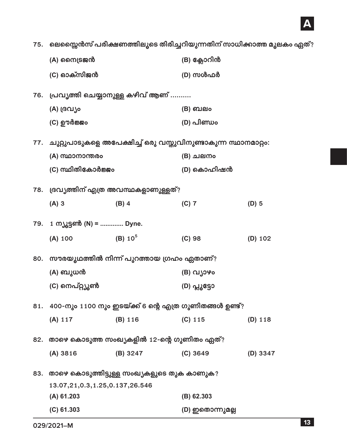## A

75. ലെസ്സൈൻസ് പരീക്ഷണത്തിലൂടെ തിരിച്ചറിയുന്നതിന് സാധിക്കാത്ത മൂലകം ഏത്?

|     | (A) സൈട്രജൻ                                                  |            | (B) ക്ലോറിൻ                                                         |          |  |
|-----|--------------------------------------------------------------|------------|---------------------------------------------------------------------|----------|--|
|     | (C) ഓക്സിജൻ                                                  |            | (D) സൾഫർ                                                            |          |  |
| 76. | പ്രവൃത്തി ചെയ്യാനുള്ള കഴിവ് ആണ്                              |            |                                                                     |          |  |
|     | (A) ദ്രവ്യം                                                  |            | (B) ബലം                                                             |          |  |
|     | (C) ഊർജ്ജം                                                   |            | (D) പിണ്ഡം                                                          |          |  |
|     |                                                              |            | 77.   ചുറ്റുപാടുകളെ അപേക്ഷിച്ച് ഒരു വസ്തുവിനുണ്ടാകുന്ന സ്ഥാനമാറ്റം: |          |  |
|     | (A) സ്ഥാനാന്തരം                                              |            | (B) ചലനം                                                            |          |  |
|     | (C) സ്ഥിതികോർജ്ജം                                            |            | (D) കൊഹിഷൻ                                                          |          |  |
|     | 78.   ദ്രവ്യത്തിന് എത്ര അവസ്ഥകളാണുള്ളത്?                     |            |                                                                     |          |  |
|     | $(A)$ 3                                                      | $(B)$ 4    | $(C)$ 7                                                             | $(D)$ 5  |  |
|     | 79. 1 ന്യൂട്ടൺ (N) =  Dyne.                                  |            |                                                                     |          |  |
|     | (A) 100                                                      | $(B) 10^5$ | (C) 98                                                              | (D) 102  |  |
|     | 80.   സൗരയൂഥത്തിൽ നിന്ന് പുറത്തായ ഗ്രഹം ഏതാണ്?               |            |                                                                     |          |  |
|     | (A) ബുധൻ                                                     |            | (B) വ്യാഴം                                                          |          |  |
|     | (C) നെപ്റ്റ്യൂൺ                                              |            | (D) പ്ലൂട്ടോ                                                        |          |  |
|     | 81.   400-നും 1100 നും ഇടയ്ക്ക് 6 ന്റെ എത്ര ഗുണിതങ്ങൾ ഉണ്ട്? |            |                                                                     |          |  |
|     | (A) 117                                                      | (B) 116    | $(C)$ 115                                                           | (D) 118  |  |
|     | 82.   താഴെ കൊടുത്ത സംഖ്യകളിൽ 12-ന്റെ ഗുണിതം ഏത്?             |            |                                                                     |          |  |
|     | (A) 3816                                                     | (B) 3247   | (C) 3649                                                            | (D) 3347 |  |
|     | 83.   താഴെ കൊടുത്തിട്ടുള്ള സംഖ്യകളുടെ തുക കാണുക?             |            |                                                                     |          |  |
|     | 13.07, 21, 0.3, 1.25, 0.137, 26.546                          |            |                                                                     |          |  |
|     | $(A)$ 61.203                                                 |            | $(B)$ 62.303                                                        |          |  |
|     | $(C)$ 61.303                                                 |            | (D) ഇതൊന്നുമല്ല                                                     |          |  |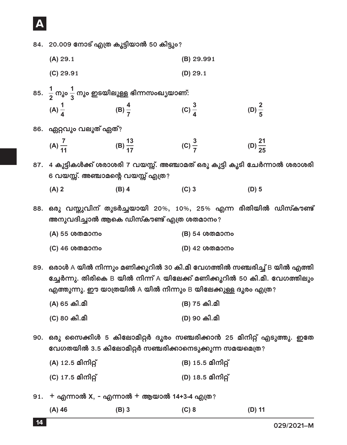## **A**

- 84. 20.009 നോട് എത്ര കൂട്ടിയാൽ 50 കിട്ടും?
	- **(A)** 29.1 **(B)** 29.991
	- **(C)** 29.91 **(D)** 29.1
- 85.  $\frac{1}{2}$  $\frac{1}{2}$  നും  $\frac{1}{3}$  നും ഇടയിലുള്ള ഭിന്നസംഖ്യയാണ്:  $(A) \frac{1}{4}$  (B)  $\frac{4}{7}$ **(C)**  $\frac{3}{4}$  $\frac{3}{4}$  (D)  $\frac{2}{5}$
- 86. ഏറ്റവും വലുത് ഏത്?
	- $(A)$   $\frac{7}{11}$  $(B)$   $\frac{13}{17}$ **(C)**  $\frac{3}{7}$  $\frac{3}{7}$  (D)  $\frac{21}{25}$

87. 4 കുട്ടികൾക്ക് ശരാശരി 7 വയസ്സ്. അഞ്ചാമത് ഒരു കുട്ടി കൂടി ചേർന്നാൽ ശരാശരി 6 വയസ്സ്. അഞ്ചാമന്റെ വയസ്സ് എത്ര?

**(A) 2 (B) 4 (C) 3 (D) 5**

88. ഒരു വസ്തുവിന് തുടർച്ചയായി 20%, 10%, 25% എന്ന രീതിയിൽ ഡിസ്കൗണ്ട് അനുവദിച്ചാൽ ആകെ ഡിസ്കൗണ്ട് എത്ര ശതമാനം?

- **(A)** 55 wfoLjU **(B)** 54 wfoLjU
- **(C)** 46 wfoLjU **(D)** 42 wfoLjU

89. ഒരാൾ A യിൽ നിന്നും മണിക്കുറിൽ 30 കി.മീ വേഗത്തിൽ സഞ്ചരിച്ച് B യിൽ എത്തി ഭച്ചർന്നു. തിരികെ B യിൽ നിന്ന് A യിലേക്ക് മണിക്കൂറിൽ 50 കി.മീ. വേഗത്തിലും  $\mathbf{q}$ എത്തുന്നു. ഈ യാത്രയിൽ A യിൽ നിന്നും B യിലേക്കുള്ള ദൂരം എത്ര $\mathbf{q}$ 

- **(A)** 65 W].o} **(B)** 75 W].o} **(C)** 80 W].o} **(D)** 90 W].o}
- 90. ഒരു സൈക്കിൾ 5 കിലോമീറ്റർ ദൂരം സഞ്ചരിക്കാൻ 25 മിനിറ്റ് എടുത്തു. ഇതേ വേഗതയിൽ 3.5 കിലോമീറ്റർ സഞ്ചരിക്കാനെടുക്കുന്ന സമയമെത്ര?
	- **(A)** 12.5 o]j]ãV **(B)** 15.5 o]j]ãV
	- **(C)** 17.5 o]j]ãV **(D)** 18.5 o]j]ãV

91. + എന്നാൽ X, - എന്നാൽ + ആയാൽ 14+3-4 എത്ര?

**(A) 46 (B) 3 (C) 8 (D) 11**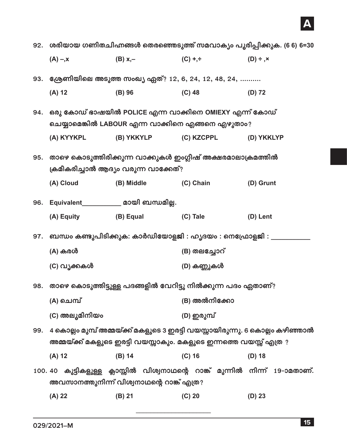# $\overline{\mathsf{A}}$

| 92. ശരിയായ ഗണിതചിഹ്നങ്ങൾ തെരഞ്ഞെടുത്ത് സമവാക്യം പൂരിപ്പിക്കുക. (6 6) 6=30 |                                                                                                                                                   |                                           |              |                                                                             |
|---------------------------------------------------------------------------|---------------------------------------------------------------------------------------------------------------------------------------------------|-------------------------------------------|--------------|-----------------------------------------------------------------------------|
|                                                                           | $(A) - x$                                                                                                                                         | $(B)$ x,-                                 | $(C) + +$    | $(D) \div x$                                                                |
| 93.                                                                       | ശ്രേണിയിലെ അടുത്ത സംഖ്യ ഏത്? 12, 6, 24, 12, 48, 24,                                                                                               |                                           |              |                                                                             |
|                                                                           | $(A)$ 12                                                                                                                                          | $(B)$ 96                                  | $(C)$ 48     | $(D)$ 72                                                                    |
| 94.                                                                       | ഒരു കോഡ് ഭാഷയിൽ POLICE എന്ന വാക്കിനെ OMIEXY എന്ന് കോഡ്                                                                                            |                                           |              |                                                                             |
|                                                                           | ചെയ്യാമെങ്കിൽ LABOUR എന്ന വാക്കിനെ എങ്ങനെ എഴുതാം?                                                                                                 |                                           |              |                                                                             |
|                                                                           | (A) KYYKPL                                                                                                                                        | (B) YKKYLP                                | (C) KZCPPL   | (D) YKKLYP                                                                  |
| 95.                                                                       | താഴെ കൊടുത്തിരിക്കുന്ന വാക്കുകൾ ഇംഗ്ലീഷ് അക്ഷരമാലാക്രമത്തിൽ<br>ക്രമീകരിച്ചാൽ ആദ്യം വരുന്ന വാക്കേത്?                                               |                                           |              |                                                                             |
|                                                                           |                                                                                                                                                   |                                           |              |                                                                             |
|                                                                           | (A) Cloud                                                                                                                                         | (B) Middle                                | (C) Chain    | (D) Grunt                                                                   |
| 96.                                                                       |                                                                                                                                                   |                                           |              |                                                                             |
|                                                                           | (A) Equity                                                                                                                                        | (B) Equal                                 | (C) Tale     | (D) Lent                                                                    |
| 97.                                                                       | ബന്ധം കണ്ടുപിടിക്കുക: കാർഡിയോളജി : ഹൃദയം : നെഫ്രോളജി : ________                                                                                   |                                           |              |                                                                             |
|                                                                           | (A) കരൾ                                                                                                                                           |                                           | (B) തലച്ചോറ് |                                                                             |
|                                                                           | (C) വൃക്കകൾ                                                                                                                                       |                                           | (D) കണ്ണുകൾ  |                                                                             |
| 98.                                                                       | താഴെ കൊടുത്തിട്ടുള്ള പദങ്ങളിൽ വേറിട്ടു നിൽക്കുന്ന പദം ഏതാണ്?                                                                                      |                                           |              |                                                                             |
|                                                                           | (A) ചെമ്പ്                                                                                                                                        |                                           | (B) അൽനിക്കോ |                                                                             |
|                                                                           | (C) അലൂമിനിയം                                                                                                                                     |                                           | (D) ഇരുമ്പ്  |                                                                             |
| 99.                                                                       | 4 കൊല്ലം മുമ്പ് അമ്മയ്ക്ക് മകളുടെ 3 ഇരട്ടി വയസ്സായിരുന്നു. 6 കൊല്ലം കഴിഞ്ഞാൽ<br>അമ്മയ്ക്ക് മകളുടെ ഇരട്ടി വയസ്സാകും. മകളുടെ ഇന്നത്തെ വയസ്സ് എത്ര ? |                                           |              |                                                                             |
|                                                                           | $(A)$ 12                                                                                                                                          | $(B)$ 14                                  | $(C)$ 16     | $(D)$ 18                                                                    |
|                                                                           |                                                                                                                                                   | അവസാനത്തുനിന്ന് വിശ്വനാഥന്റെ റാങ്ക് എത്ര? |              | 100.40 കുട്ടികളുള്ള ക്ലാസ്സിൽ വിശ്വനാഥന്റെ റാങ്ക് മുന്നിൽ നിന്ന് 19-ാമതാണ്. |
|                                                                           | $(A)$ 22                                                                                                                                          | $(B)$ 21                                  | $(C)$ 20     | $(D)$ 23                                                                    |